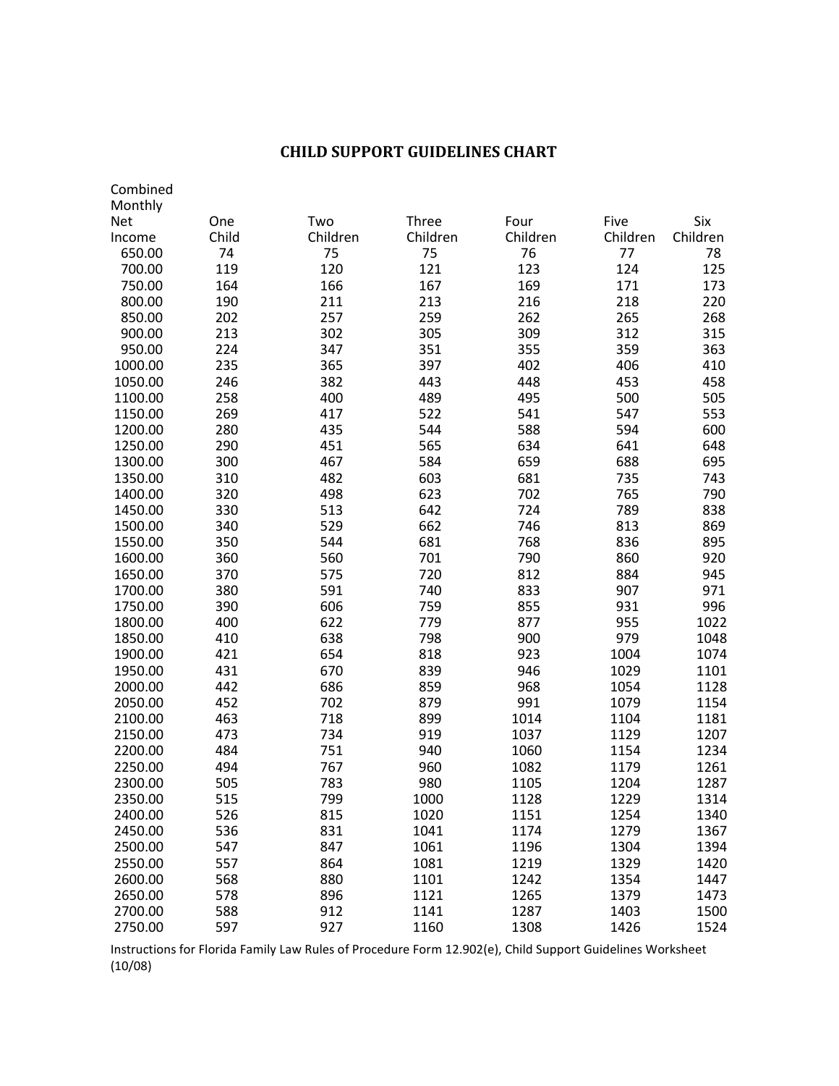## **CHILD SUPPORT GUIDELINES CHART**

| Combined           |            |            |            |            |            |            |
|--------------------|------------|------------|------------|------------|------------|------------|
| Monthly            |            |            |            |            |            |            |
| <b>Net</b>         | One        | Two        | Three      | Four       | Five       | Six        |
| Income             | Child      | Children   | Children   | Children   | Children   | Children   |
| 650.00             | 74         | 75         | 75         | 76         | 77         | 78         |
| 700.00             | 119        | 120        | 121        | 123        | 124        | 125        |
| 750.00             | 164        | 166        | 167        | 169        | 171        | 173        |
| 800.00             | 190        | 211        | 213        | 216        | 218        | 220        |
| 850.00             | 202        | 257        | 259        | 262        | 265        | 268        |
| 900.00             | 213        | 302        | 305        | 309        | 312        | 315        |
| 950.00             | 224        | 347        | 351        | 355        | 359        | 363        |
| 1000.00            | 235        | 365        | 397        | 402        | 406        | 410        |
| 1050.00            | 246        | 382        | 443        | 448        | 453        | 458        |
| 1100.00            | 258        | 400        | 489        | 495        | 500        | 505        |
| 1150.00            | 269        | 417        | 522        | 541        | 547        | 553        |
| 1200.00            | 280        | 435        | 544        | 588        | 594        | 600        |
| 1250.00            | 290        | 451        | 565        | 634        | 641        | 648        |
| 1300.00            | 300        | 467        | 584        | 659        | 688        | 695        |
| 1350.00            | 310        | 482        | 603        | 681        | 735        | 743        |
| 1400.00            | 320        | 498        | 623        | 702        | 765        | 790        |
| 1450.00            | 330        | 513        | 642        | 724        | 789        | 838        |
| 1500.00            | 340        | 529        | 662        | 746        | 813        | 869        |
| 1550.00            | 350        | 544        | 681        | 768        | 836        | 895        |
| 1600.00            | 360        | 560        | 701        | 790        | 860        | 920        |
| 1650.00            | 370        | 575        | 720        | 812        | 884        | 945        |
| 1700.00<br>1750.00 | 380<br>390 | 591<br>606 | 740<br>759 | 833<br>855 | 907<br>931 | 971<br>996 |
| 1800.00            | 400        | 622        | 779        | 877        | 955        | 1022       |
| 1850.00            | 410        | 638        | 798        | 900        | 979        | 1048       |
| 1900.00            | 421        | 654        | 818        | 923        | 1004       | 1074       |
| 1950.00            | 431        | 670        | 839        | 946        | 1029       | 1101       |
| 2000.00            | 442        | 686        | 859        | 968        | 1054       | 1128       |
| 2050.00            | 452        | 702        | 879        | 991        | 1079       | 1154       |
| 2100.00            | 463        | 718        | 899        | 1014       | 1104       | 1181       |
| 2150.00            | 473        | 734        | 919        | 1037       | 1129       | 1207       |
| 2200.00            | 484        | 751        | 940        | 1060       | 1154       | 1234       |
| 2250.00            | 494        | 767        | 960        | 1082       | 1179       | 1261       |
| 2300.00            | 505        | 783        | 980        | 1105       | 1204       | 1287       |
| 2350.00            | 515        | 799        | 1000       | 1128       | 1229       | 1314       |
| 2400.00            | 526        | 815        | 1020       | 1151       | 1254       | 1340       |
| 2450.00            | 536        | 831        | 1041       | 1174       | 1279       | 1367       |
| 2500.00            | 547        | 847        | 1061       | 1196       | 1304       | 1394       |
| 2550.00            | 557        | 864        | 1081       | 1219       | 1329       | 1420       |
| 2600.00            | 568        | 880        | 1101       | 1242       | 1354       | 1447       |
| 2650.00            | 578        | 896        | 1121       | 1265       | 1379       | 1473       |
| 2700.00            | 588        | 912        | 1141       | 1287       | 1403       | 1500       |
| 2750.00            | 597        | 927        | 1160       | 1308       | 1426       | 1524       |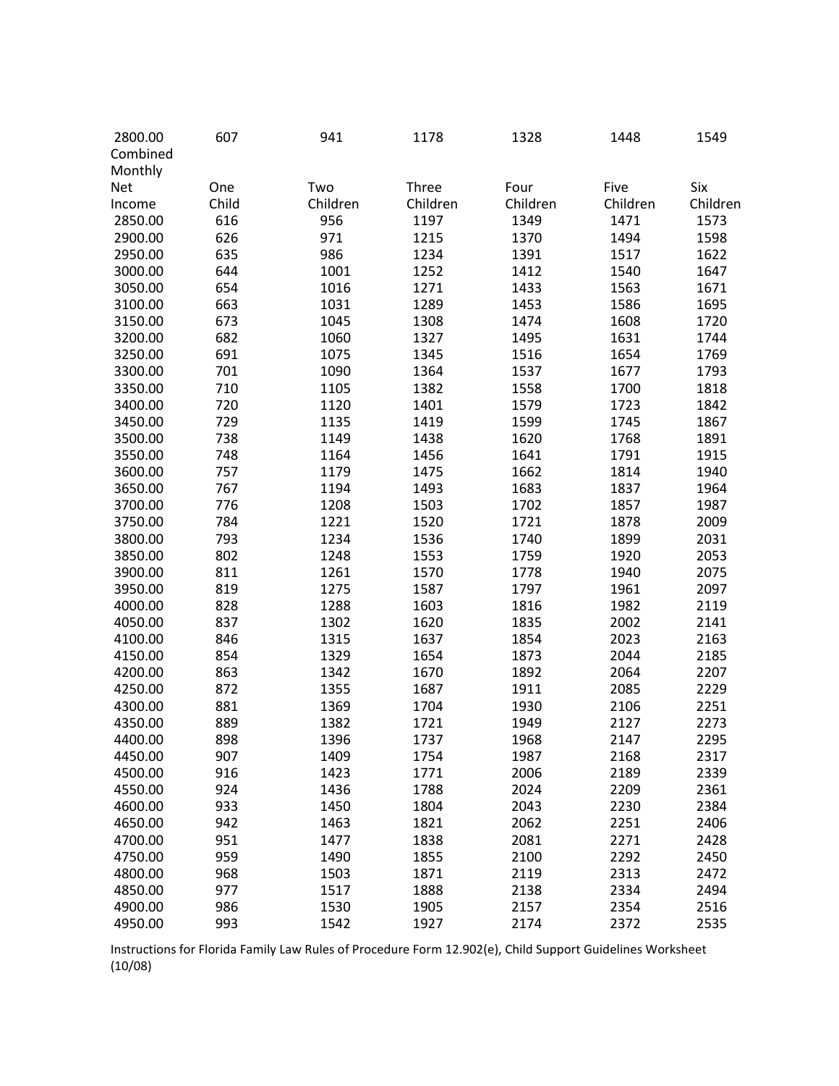| 2800.00    | 607   | 941      | 1178     | 1328     | 1448     | 1549     |
|------------|-------|----------|----------|----------|----------|----------|
| Combined   |       |          |          |          |          |          |
| Monthly    |       |          |          |          |          |          |
| <b>Net</b> | One   | Two      | Three    | Four     | Five     | Six      |
| Income     | Child | Children | Children | Children | Children | Children |
| 2850.00    | 616   | 956      | 1197     | 1349     | 1471     | 1573     |
| 2900.00    | 626   | 971      | 1215     | 1370     | 1494     | 1598     |
| 2950.00    | 635   | 986      | 1234     | 1391     | 1517     | 1622     |
| 3000.00    | 644   | 1001     | 1252     | 1412     | 1540     | 1647     |
| 3050.00    | 654   | 1016     | 1271     | 1433     | 1563     | 1671     |
| 3100.00    | 663   | 1031     | 1289     | 1453     | 1586     | 1695     |
| 3150.00    | 673   | 1045     | 1308     | 1474     | 1608     | 1720     |
| 3200.00    | 682   | 1060     | 1327     | 1495     | 1631     | 1744     |
| 3250.00    | 691   | 1075     | 1345     | 1516     | 1654     | 1769     |
| 3300.00    | 701   | 1090     | 1364     | 1537     | 1677     | 1793     |
| 3350.00    | 710   | 1105     | 1382     | 1558     | 1700     | 1818     |
| 3400.00    | 720   | 1120     | 1401     | 1579     | 1723     | 1842     |
| 3450.00    | 729   | 1135     | 1419     | 1599     | 1745     | 1867     |
| 3500.00    | 738   | 1149     | 1438     | 1620     | 1768     | 1891     |
| 3550.00    | 748   | 1164     | 1456     | 1641     | 1791     | 1915     |
| 3600.00    | 757   | 1179     | 1475     | 1662     | 1814     | 1940     |
| 3650.00    | 767   | 1194     | 1493     | 1683     | 1837     | 1964     |
| 3700.00    | 776   | 1208     | 1503     | 1702     | 1857     | 1987     |
| 3750.00    | 784   | 1221     | 1520     | 1721     | 1878     | 2009     |
| 3800.00    | 793   | 1234     | 1536     | 1740     | 1899     | 2031     |
| 3850.00    | 802   | 1248     | 1553     | 1759     | 1920     | 2053     |
| 3900.00    | 811   | 1261     | 1570     | 1778     | 1940     | 2075     |
| 3950.00    | 819   | 1275     | 1587     | 1797     | 1961     | 2097     |
| 4000.00    | 828   | 1288     | 1603     | 1816     | 1982     | 2119     |
| 4050.00    | 837   | 1302     | 1620     | 1835     | 2002     | 2141     |
| 4100.00    | 846   | 1315     | 1637     | 1854     | 2023     | 2163     |
| 4150.00    | 854   | 1329     | 1654     | 1873     | 2044     | 2185     |
| 4200.00    | 863   | 1342     | 1670     | 1892     | 2064     | 2207     |
| 4250.00    | 872   | 1355     | 1687     | 1911     | 2085     | 2229     |
| 4300.00    | 881   | 1369     | 1704     | 1930     | 2106     | 2251     |
| 4350.00    | 889   | 1382     | 1721     | 1949     | 2127     | 2273     |
| 4400.00    | 898   | 1396     | 1737     | 1968     | 2147     | 2295     |
| 4450.00    | 907   | 1409     | 1754     | 1987     | 2168     | 2317     |
| 4500.00    | 916   | 1423     | 1771     | 2006     | 2189     | 2339     |
| 4550.00    | 924   | 1436     | 1788     | 2024     | 2209     | 2361     |
| 4600.00    | 933   | 1450     | 1804     | 2043     | 2230     | 2384     |
| 4650.00    | 942   | 1463     | 1821     | 2062     | 2251     | 2406     |
| 4700.00    | 951   | 1477     | 1838     | 2081     | 2271     | 2428     |
|            |       |          |          | 2100     |          |          |
| 4750.00    | 959   | 1490     | 1855     |          | 2292     | 2450     |
| 4800.00    | 968   | 1503     | 1871     | 2119     | 2313     | 2472     |
| 4850.00    | 977   | 1517     | 1888     | 2138     | 2334     | 2494     |
| 4900.00    | 986   | 1530     | 1905     | 2157     | 2354     | 2516     |
| 4950.00    | 993   | 1542     | 1927     | 2174     | 2372     | 2535     |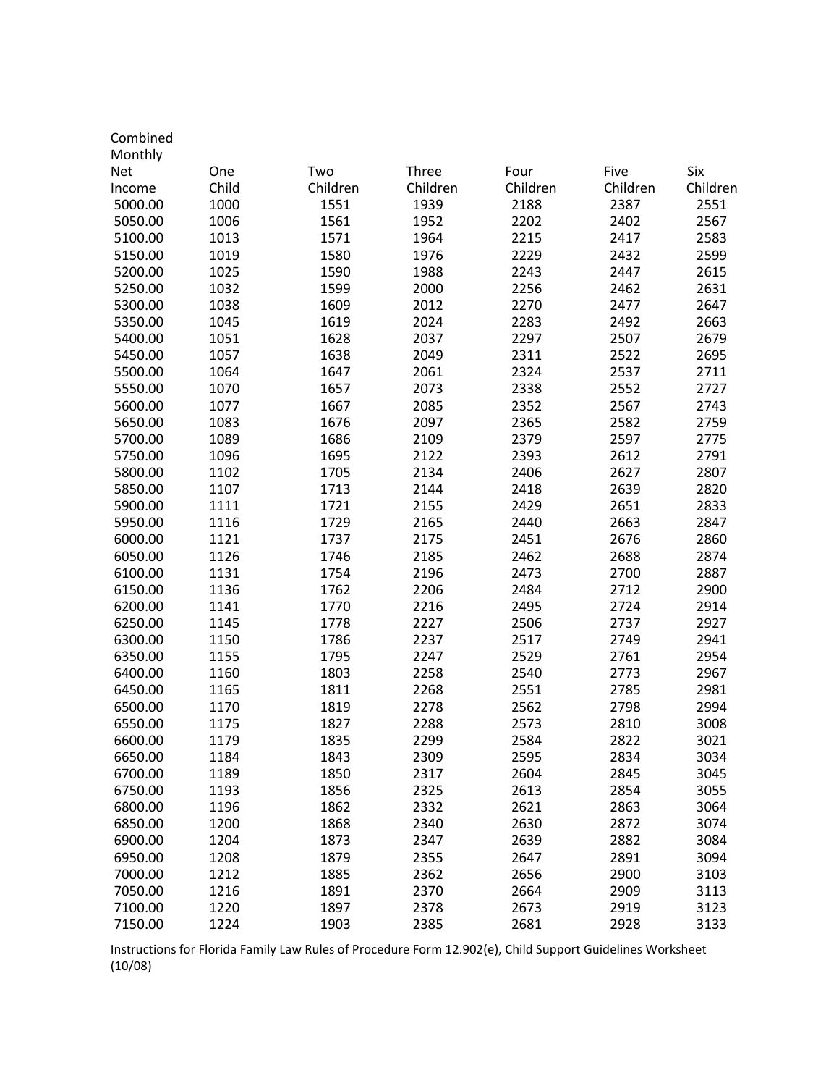| Monthly<br>Six<br><b>Net</b><br>Two<br>Three<br>Four<br>Five<br>One<br>Child<br>Children<br>Children<br>Children<br>Children<br>Children<br>Income<br>5000.00<br>1000<br>1551<br>1939<br>2387<br>2551<br>2188<br>1006<br>1561<br>1952<br>2202<br>2402<br>2567<br>5050.00<br>5100.00<br>1013<br>1571<br>1964<br>2215<br>2417<br>2583<br>5150.00<br>1019<br>1580<br>1976<br>2229<br>2432<br>2599<br>1025<br>1590<br>1988<br>2243<br>2447<br>2615<br>5200.00<br>1032<br>1599<br>2000<br>2256<br>2462<br>2631<br>5250.00<br>1038<br>1609<br>2012<br>2270<br>2477<br>2647<br>5300.00<br>1045<br>1619<br>2024<br>2283<br>2492<br>2663<br>5350.00<br>1051<br>1628<br>2037<br>2297<br>2507<br>5400.00<br>2679<br>1057<br>1638<br>2049<br>2311<br>2522<br>2695<br>5450.00<br>1064<br>1647<br>2061<br>2324<br>2537<br>2711<br>5500.00<br>1070<br>1657<br>2073<br>2552<br>2727<br>5550.00<br>2338<br>1077<br>1667<br>2085<br>2352<br>2567<br>2743<br>5600.00 |  |
|---------------------------------------------------------------------------------------------------------------------------------------------------------------------------------------------------------------------------------------------------------------------------------------------------------------------------------------------------------------------------------------------------------------------------------------------------------------------------------------------------------------------------------------------------------------------------------------------------------------------------------------------------------------------------------------------------------------------------------------------------------------------------------------------------------------------------------------------------------------------------------------------------------------------------------------------------|--|
|                                                                                                                                                                                                                                                                                                                                                                                                                                                                                                                                                                                                                                                                                                                                                                                                                                                                                                                                                   |  |
|                                                                                                                                                                                                                                                                                                                                                                                                                                                                                                                                                                                                                                                                                                                                                                                                                                                                                                                                                   |  |
|                                                                                                                                                                                                                                                                                                                                                                                                                                                                                                                                                                                                                                                                                                                                                                                                                                                                                                                                                   |  |
|                                                                                                                                                                                                                                                                                                                                                                                                                                                                                                                                                                                                                                                                                                                                                                                                                                                                                                                                                   |  |
|                                                                                                                                                                                                                                                                                                                                                                                                                                                                                                                                                                                                                                                                                                                                                                                                                                                                                                                                                   |  |
|                                                                                                                                                                                                                                                                                                                                                                                                                                                                                                                                                                                                                                                                                                                                                                                                                                                                                                                                                   |  |
|                                                                                                                                                                                                                                                                                                                                                                                                                                                                                                                                                                                                                                                                                                                                                                                                                                                                                                                                                   |  |
|                                                                                                                                                                                                                                                                                                                                                                                                                                                                                                                                                                                                                                                                                                                                                                                                                                                                                                                                                   |  |
|                                                                                                                                                                                                                                                                                                                                                                                                                                                                                                                                                                                                                                                                                                                                                                                                                                                                                                                                                   |  |
|                                                                                                                                                                                                                                                                                                                                                                                                                                                                                                                                                                                                                                                                                                                                                                                                                                                                                                                                                   |  |
|                                                                                                                                                                                                                                                                                                                                                                                                                                                                                                                                                                                                                                                                                                                                                                                                                                                                                                                                                   |  |
|                                                                                                                                                                                                                                                                                                                                                                                                                                                                                                                                                                                                                                                                                                                                                                                                                                                                                                                                                   |  |
|                                                                                                                                                                                                                                                                                                                                                                                                                                                                                                                                                                                                                                                                                                                                                                                                                                                                                                                                                   |  |
|                                                                                                                                                                                                                                                                                                                                                                                                                                                                                                                                                                                                                                                                                                                                                                                                                                                                                                                                                   |  |
|                                                                                                                                                                                                                                                                                                                                                                                                                                                                                                                                                                                                                                                                                                                                                                                                                                                                                                                                                   |  |
|                                                                                                                                                                                                                                                                                                                                                                                                                                                                                                                                                                                                                                                                                                                                                                                                                                                                                                                                                   |  |
| 1083<br>1676<br>2097<br>2582<br>2759<br>5650.00<br>2365                                                                                                                                                                                                                                                                                                                                                                                                                                                                                                                                                                                                                                                                                                                                                                                                                                                                                           |  |
| 1089<br>1686<br>2597<br>5700.00<br>2109<br>2379<br>2775                                                                                                                                                                                                                                                                                                                                                                                                                                                                                                                                                                                                                                                                                                                                                                                                                                                                                           |  |
| 1096<br>1695<br>2122<br>2393<br>2612<br>2791<br>5750.00                                                                                                                                                                                                                                                                                                                                                                                                                                                                                                                                                                                                                                                                                                                                                                                                                                                                                           |  |
| 1102<br>1705<br>2134<br>2406<br>2627<br>2807<br>5800.00                                                                                                                                                                                                                                                                                                                                                                                                                                                                                                                                                                                                                                                                                                                                                                                                                                                                                           |  |
| 1107<br>1713<br>2144<br>2418<br>2639<br>2820<br>5850.00                                                                                                                                                                                                                                                                                                                                                                                                                                                                                                                                                                                                                                                                                                                                                                                                                                                                                           |  |
| 5900.00<br>1111<br>1721<br>2155<br>2429<br>2651<br>2833                                                                                                                                                                                                                                                                                                                                                                                                                                                                                                                                                                                                                                                                                                                                                                                                                                                                                           |  |
| 1116<br>1729<br>2165<br>2440<br>2663<br>2847<br>5950.00                                                                                                                                                                                                                                                                                                                                                                                                                                                                                                                                                                                                                                                                                                                                                                                                                                                                                           |  |
|                                                                                                                                                                                                                                                                                                                                                                                                                                                                                                                                                                                                                                                                                                                                                                                                                                                                                                                                                   |  |
| 1121<br>1737<br>2175<br>2451<br>2676<br>2860<br>6000.00                                                                                                                                                                                                                                                                                                                                                                                                                                                                                                                                                                                                                                                                                                                                                                                                                                                                                           |  |
| 1126<br>1746<br>2185<br>2462<br>2688<br>6050.00<br>2874                                                                                                                                                                                                                                                                                                                                                                                                                                                                                                                                                                                                                                                                                                                                                                                                                                                                                           |  |
| 1131<br>1754<br>2196<br>2700<br>6100.00<br>2473<br>2887                                                                                                                                                                                                                                                                                                                                                                                                                                                                                                                                                                                                                                                                                                                                                                                                                                                                                           |  |
| 1136<br>1762<br>2206<br>2484<br>2712<br>2900<br>6150.00                                                                                                                                                                                                                                                                                                                                                                                                                                                                                                                                                                                                                                                                                                                                                                                                                                                                                           |  |
| 1141<br>1770<br>2216<br>2495<br>2724<br>2914<br>6200.00                                                                                                                                                                                                                                                                                                                                                                                                                                                                                                                                                                                                                                                                                                                                                                                                                                                                                           |  |
| 1145<br>1778<br>2227<br>2506<br>2737<br>2927<br>6250.00                                                                                                                                                                                                                                                                                                                                                                                                                                                                                                                                                                                                                                                                                                                                                                                                                                                                                           |  |
| 1150<br>1786<br>2237<br>2517<br>2749<br>6300.00<br>2941                                                                                                                                                                                                                                                                                                                                                                                                                                                                                                                                                                                                                                                                                                                                                                                                                                                                                           |  |
| 1155<br>1795<br>2247<br>2529<br>2761<br>2954<br>6350.00                                                                                                                                                                                                                                                                                                                                                                                                                                                                                                                                                                                                                                                                                                                                                                                                                                                                                           |  |
| 1160<br>1803<br>2258<br>2773<br>6400.00<br>2540<br>2967                                                                                                                                                                                                                                                                                                                                                                                                                                                                                                                                                                                                                                                                                                                                                                                                                                                                                           |  |
| 1165<br>1811<br>2268<br>2785<br>2981<br>6450.00<br>2551                                                                                                                                                                                                                                                                                                                                                                                                                                                                                                                                                                                                                                                                                                                                                                                                                                                                                           |  |
| 2278<br>2562<br>2798<br>2994<br>6500.00<br>1170<br>1819                                                                                                                                                                                                                                                                                                                                                                                                                                                                                                                                                                                                                                                                                                                                                                                                                                                                                           |  |
| 1827<br>6550.00<br>1175<br>2288<br>2573<br>2810<br>3008                                                                                                                                                                                                                                                                                                                                                                                                                                                                                                                                                                                                                                                                                                                                                                                                                                                                                           |  |
| 1179<br>1835<br>2299<br>2584<br>2822<br>3021<br>6600.00                                                                                                                                                                                                                                                                                                                                                                                                                                                                                                                                                                                                                                                                                                                                                                                                                                                                                           |  |
| 6650.00<br>2309<br>2595<br>2834<br>3034<br>1184<br>1843                                                                                                                                                                                                                                                                                                                                                                                                                                                                                                                                                                                                                                                                                                                                                                                                                                                                                           |  |
| 1189<br>1850<br>2317<br>2604<br>2845<br>6700.00<br>3045                                                                                                                                                                                                                                                                                                                                                                                                                                                                                                                                                                                                                                                                                                                                                                                                                                                                                           |  |
| 3055<br>6750.00<br>1193<br>1856<br>2325<br>2613<br>2854                                                                                                                                                                                                                                                                                                                                                                                                                                                                                                                                                                                                                                                                                                                                                                                                                                                                                           |  |
| 6800.00<br>1196<br>1862<br>2332<br>2621<br>2863<br>3064                                                                                                                                                                                                                                                                                                                                                                                                                                                                                                                                                                                                                                                                                                                                                                                                                                                                                           |  |
| 1200<br>3074<br>6850.00<br>1868<br>2340<br>2630<br>2872                                                                                                                                                                                                                                                                                                                                                                                                                                                                                                                                                                                                                                                                                                                                                                                                                                                                                           |  |
| 1204<br>6900.00<br>1873<br>2347<br>2639<br>2882<br>3084                                                                                                                                                                                                                                                                                                                                                                                                                                                                                                                                                                                                                                                                                                                                                                                                                                                                                           |  |
| 1208<br>2355<br>2891<br>6950.00<br>1879<br>2647<br>3094                                                                                                                                                                                                                                                                                                                                                                                                                                                                                                                                                                                                                                                                                                                                                                                                                                                                                           |  |
| 2362<br>7000.00<br>1212<br>1885<br>2656<br>2900<br>3103                                                                                                                                                                                                                                                                                                                                                                                                                                                                                                                                                                                                                                                                                                                                                                                                                                                                                           |  |
| 1216<br>7050.00<br>1891<br>2370<br>2664<br>2909<br>3113                                                                                                                                                                                                                                                                                                                                                                                                                                                                                                                                                                                                                                                                                                                                                                                                                                                                                           |  |
| 1220<br>1897<br>3123<br>7100.00<br>2378<br>2673<br>2919                                                                                                                                                                                                                                                                                                                                                                                                                                                                                                                                                                                                                                                                                                                                                                                                                                                                                           |  |
| 7150.00<br>1224<br>2385<br>2681<br>2928<br>3133<br>1903                                                                                                                                                                                                                                                                                                                                                                                                                                                                                                                                                                                                                                                                                                                                                                                                                                                                                           |  |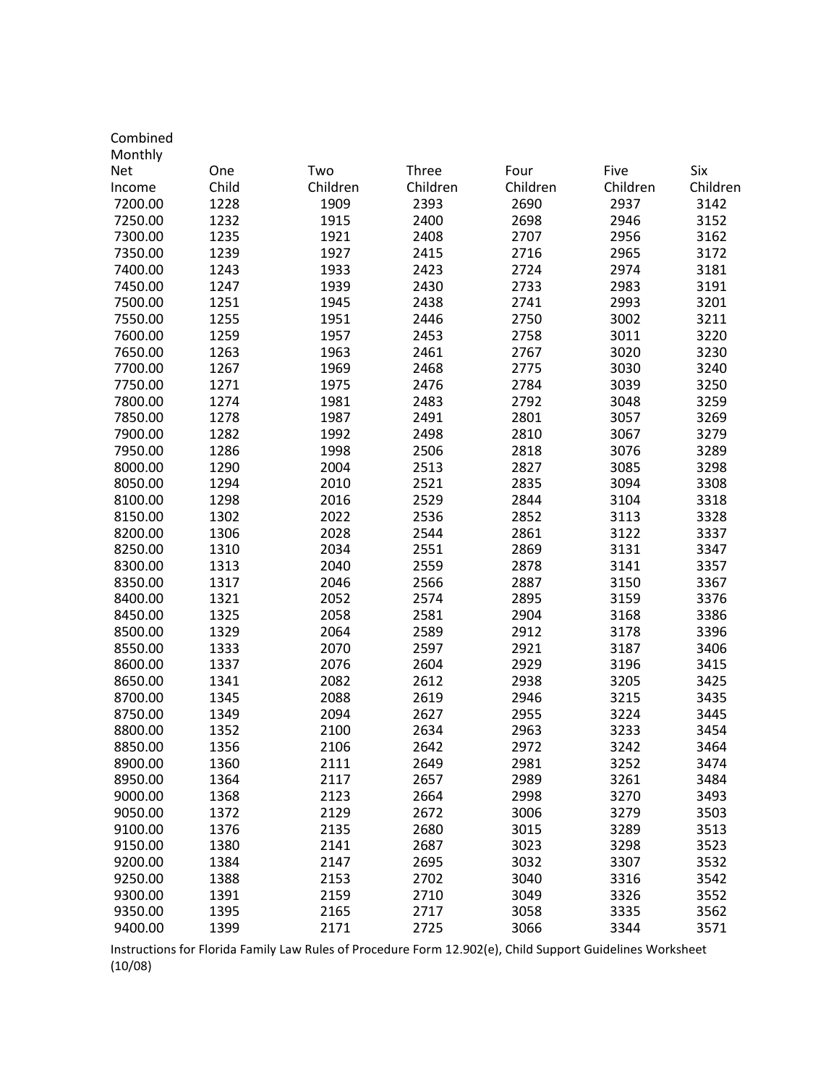| Combined |       |          |          |          |          |          |
|----------|-------|----------|----------|----------|----------|----------|
| Monthly  |       |          |          |          |          |          |
| Net      | One   | Two      | Three    | Four     | Five     | Six      |
| Income   | Child | Children | Children | Children | Children | Children |
| 7200.00  | 1228  | 1909     | 2393     | 2690     | 2937     | 3142     |
| 7250.00  | 1232  | 1915     | 2400     | 2698     | 2946     | 3152     |
| 7300.00  | 1235  | 1921     | 2408     | 2707     | 2956     | 3162     |
| 7350.00  | 1239  | 1927     | 2415     | 2716     | 2965     | 3172     |
| 7400.00  | 1243  | 1933     | 2423     | 2724     | 2974     | 3181     |
| 7450.00  | 1247  | 1939     | 2430     | 2733     | 2983     | 3191     |
| 7500.00  | 1251  | 1945     | 2438     | 2741     | 2993     | 3201     |
| 7550.00  | 1255  | 1951     | 2446     | 2750     | 3002     | 3211     |
| 7600.00  | 1259  | 1957     | 2453     | 2758     | 3011     | 3220     |
| 7650.00  | 1263  | 1963     | 2461     | 2767     | 3020     | 3230     |
| 7700.00  | 1267  | 1969     | 2468     | 2775     | 3030     | 3240     |
| 7750.00  | 1271  | 1975     | 2476     | 2784     | 3039     | 3250     |
| 7800.00  | 1274  | 1981     | 2483     | 2792     | 3048     | 3259     |
| 7850.00  | 1278  | 1987     | 2491     | 2801     | 3057     | 3269     |
| 7900.00  | 1282  | 1992     | 2498     | 2810     | 3067     | 3279     |
| 7950.00  | 1286  | 1998     | 2506     | 2818     | 3076     | 3289     |
| 8000.00  | 1290  | 2004     | 2513     | 2827     | 3085     | 3298     |
| 8050.00  | 1294  | 2010     | 2521     | 2835     | 3094     | 3308     |
| 8100.00  | 1298  | 2016     | 2529     | 2844     | 3104     | 3318     |
| 8150.00  | 1302  | 2022     | 2536     | 2852     | 3113     | 3328     |
| 8200.00  | 1306  | 2028     | 2544     | 2861     | 3122     | 3337     |
| 8250.00  | 1310  | 2034     | 2551     | 2869     | 3131     | 3347     |
| 8300.00  | 1313  | 2040     | 2559     | 2878     | 3141     | 3357     |
| 8350.00  | 1317  | 2046     | 2566     | 2887     | 3150     | 3367     |
| 8400.00  | 1321  | 2052     | 2574     | 2895     | 3159     | 3376     |
| 8450.00  | 1325  | 2058     | 2581     | 2904     | 3168     | 3386     |
| 8500.00  | 1329  | 2064     | 2589     | 2912     | 3178     | 3396     |
| 8550.00  | 1333  | 2070     | 2597     | 2921     | 3187     | 3406     |
| 8600.00  | 1337  | 2076     | 2604     | 2929     | 3196     | 3415     |
| 8650.00  | 1341  | 2082     | 2612     | 2938     | 3205     | 3425     |
| 8700.00  | 1345  | 2088     | 2619     | 2946     | 3215     | 3435     |
| 8750.00  | 1349  | 2094     | 2627     | 2955     | 3224     | 3445     |
| 8800.00  | 1352  | 2100     | 2634     | 2963     | 3233     | 3454     |
| 8850.00  | 1356  | 2106     | 2642     | 2972     | 3242     | 3464     |
| 8900.00  | 1360  | 2111     | 2649     | 2981     | 3252     | 3474     |
| 8950.00  | 1364  | 2117     | 2657     | 2989     | 3261     | 3484     |
| 9000.00  | 1368  | 2123     | 2664     | 2998     | 3270     | 3493     |
| 9050.00  | 1372  | 2129     | 2672     | 3006     | 3279     |          |
|          | 1376  |          |          |          | 3289     | 3503     |
| 9100.00  |       | 2135     | 2680     | 3015     |          | 3513     |
| 9150.00  | 1380  | 2141     | 2687     | 3023     | 3298     | 3523     |
| 9200.00  | 1384  | 2147     | 2695     | 3032     | 3307     | 3532     |
| 9250.00  | 1388  | 2153     | 2702     | 3040     | 3316     | 3542     |
| 9300.00  | 1391  | 2159     | 2710     | 3049     | 3326     | 3552     |
| 9350.00  | 1395  | 2165     | 2717     | 3058     | 3335     | 3562     |
| 9400.00  | 1399  | 2171     | 2725     | 3066     | 3344     | 3571     |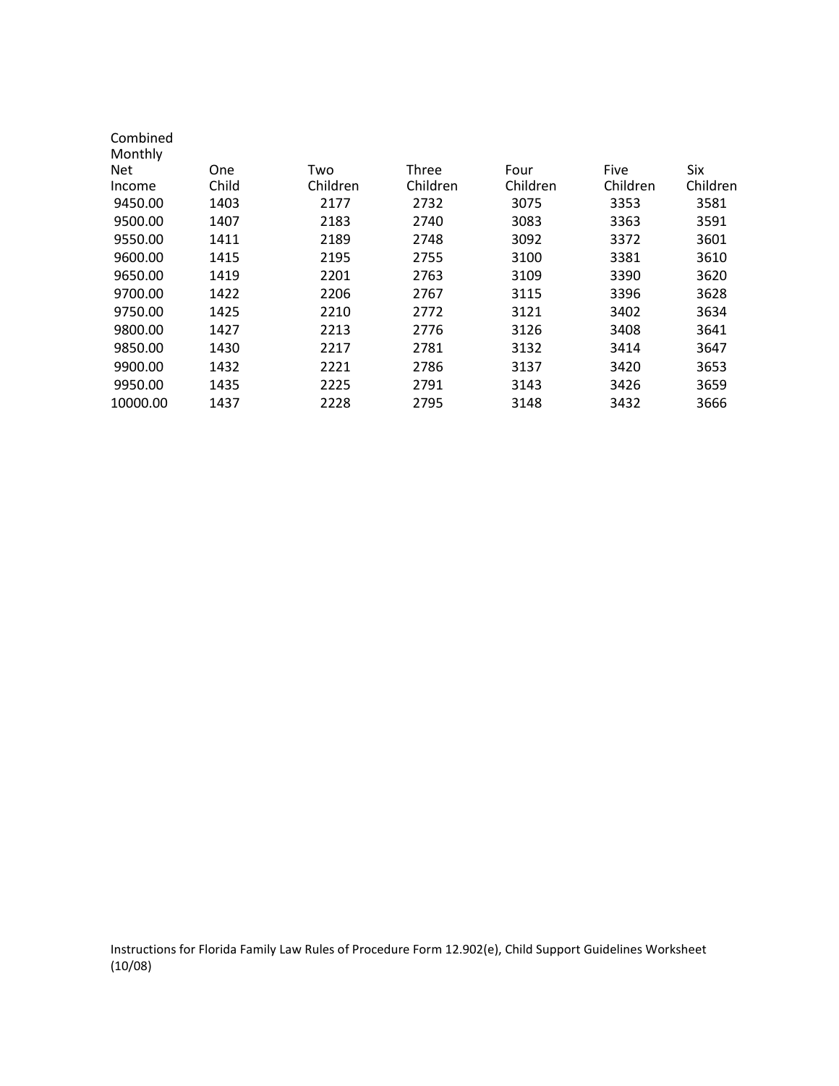| Combined |            |          |              |          |          |          |
|----------|------------|----------|--------------|----------|----------|----------|
| Monthly  |            |          |              |          |          |          |
| Net      | <b>One</b> | Two      | <b>Three</b> | Four     | Five     | Six      |
| Income   | Child      | Children | Children     | Children | Children | Children |
| 9450.00  | 1403       | 2177     | 2732         | 3075     | 3353     | 3581     |
| 9500.00  | 1407       | 2183     | 2740         | 3083     | 3363     | 3591     |
| 9550.00  | 1411       | 2189     | 2748         | 3092     | 3372     | 3601     |
| 9600.00  | 1415       | 2195     | 2755         | 3100     | 3381     | 3610     |
| 9650.00  | 1419       | 2201     | 2763         | 3109     | 3390     | 3620     |
| 9700.00  | 1422       | 2206     | 2767         | 3115     | 3396     | 3628     |
| 9750.00  | 1425       | 2210     | 2772         | 3121     | 3402     | 3634     |
| 9800.00  | 1427       | 2213     | 2776         | 3126     | 3408     | 3641     |
| 9850.00  | 1430       | 2217     | 2781         | 3132     | 3414     | 3647     |
| 9900.00  | 1432       | 2221     | 2786         | 3137     | 3420     | 3653     |
| 9950.00  | 1435       | 2225     | 2791         | 3143     | 3426     | 3659     |
| 10000.00 | 1437       | 2228     | 2795         | 3148     | 3432     | 3666     |
|          |            |          |              |          |          |          |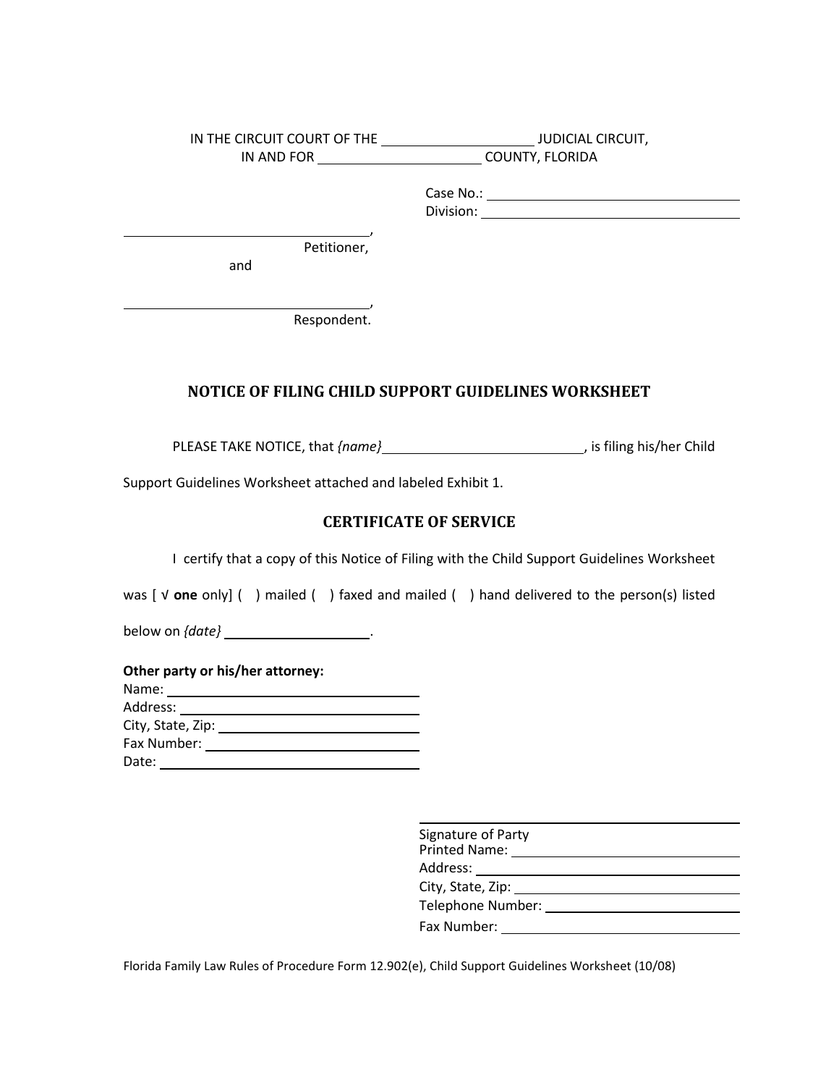| IN THE CIRCUIT COURT OF THE | <b>JUDICIAL CIRCUIT,</b> |
|-----------------------------|--------------------------|
| IN AND FOR                  | <b>COUNTY, FLORIDA</b>   |
|                             | Case No.:                |
|                             | Division:                |
|                             |                          |
| Petitioner,                 |                          |
| and                         |                          |

Respondent.

## **NOTICE OF FILING CHILD SUPPORT GUIDELINES WORKSHEET**

PLEASE TAKE NOTICE, that  ${name}$  /  ${name}$  /  ${name}$  /  ${time}$  /  ${time}$  /  ${time}$  /  ${time}$  /  ${time}$  /  ${time}$  /  ${time}$  /  ${time}$  /  ${time}$  /  ${time}$  /  ${time}$  /  ${time}$  /  ${time}$  /  ${time}$  /  ${time}$  /  ${time}$  /  ${time}$  /  ${time}$  /  ${time}$  /  ${time}$  /  ${time}$  /  ${time}$ 

Support Guidelines Worksheet attached and labeled Exhibit 1.

## **CERTIFICATE OF SERVICE**

I certify that a copy of this Notice of Filing with the Child Support Guidelines Worksheet

was [ √ **one** only] ( ) mailed ( ) faxed and mailed ( ) hand delivered to the person(s) listed

below on *{date}* .

,

|  |  | Other party or his/her attorney: |  |
|--|--|----------------------------------|--|
|  |  |                                  |  |

| Name:             |  |
|-------------------|--|
| Address:          |  |
| City, State, Zip: |  |
| Fax Number:       |  |
| Date:             |  |

| Signature of Party<br><b>Printed Name:</b> |  |
|--------------------------------------------|--|
| Address:                                   |  |
| City, State, Zip:                          |  |
| Telephone Number:                          |  |
| Fax Number:                                |  |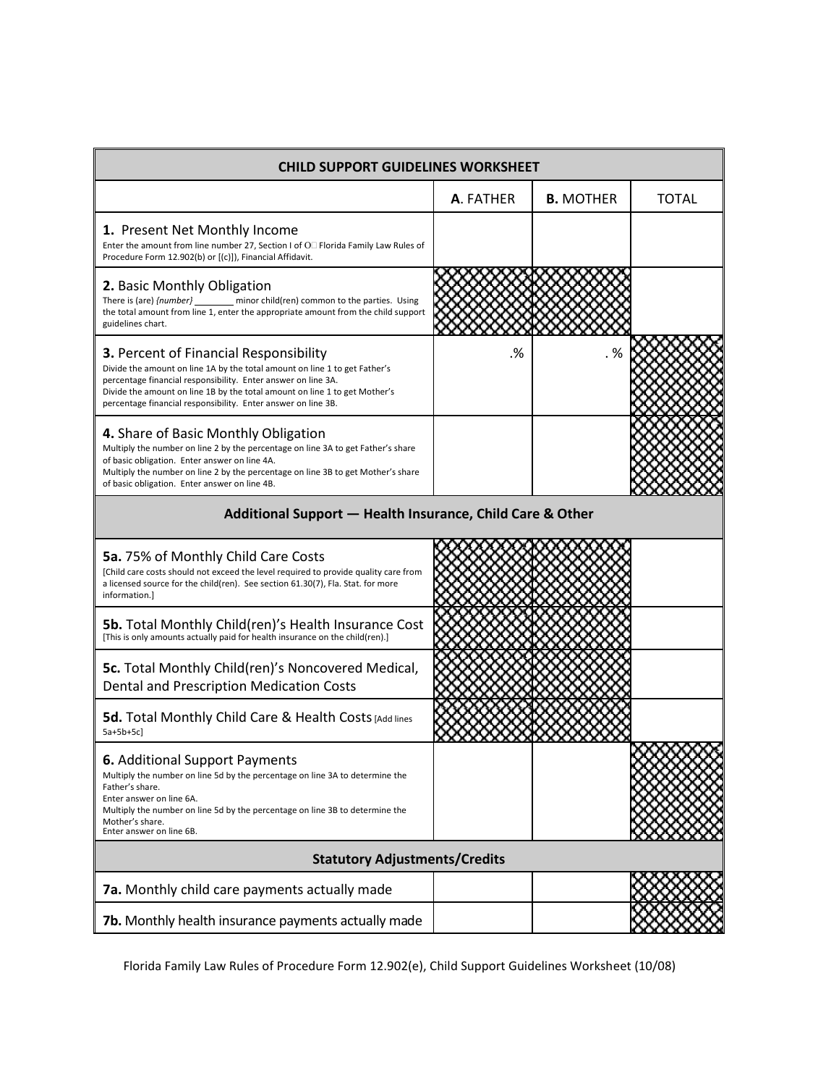| <b>CHILD SUPPORT GUIDELINES WORKSHEET</b>                                                                                                                                                                                                                                                                                                   |           |                  |              |  |  |
|---------------------------------------------------------------------------------------------------------------------------------------------------------------------------------------------------------------------------------------------------------------------------------------------------------------------------------------------|-----------|------------------|--------------|--|--|
|                                                                                                                                                                                                                                                                                                                                             | A. FATHER | <b>B. MOTHER</b> | <b>TOTAL</b> |  |  |
| 1. Present Net Monthly Income<br>Enter the amount from line number 27, Section I of O Florida Family Law Rules of<br>Procedure Form 12.902(b) or [(c)]), Financial Affidavit.                                                                                                                                                               |           |                  |              |  |  |
| 2. Basic Monthly Obligation<br>There is (are) {number} _______ minor child(ren) common to the parties. Using<br>the total amount from line 1, enter the appropriate amount from the child support<br>guidelines chart.                                                                                                                      |           |                  |              |  |  |
| <b>3. Percent of Financial Responsibility</b><br>Divide the amount on line 1A by the total amount on line 1 to get Father's<br>percentage financial responsibility. Enter answer on line 3A.<br>Divide the amount on line 1B by the total amount on line 1 to get Mother's<br>percentage financial responsibility. Enter answer on line 3B. | .%        | . %              |              |  |  |
| 4. Share of Basic Monthly Obligation<br>Multiply the number on line 2 by the percentage on line 3A to get Father's share<br>of basic obligation. Enter answer on line 4A.<br>Multiply the number on line 2 by the percentage on line 3B to get Mother's share<br>of basic obligation. Enter answer on line 4B.                              |           |                  |              |  |  |
| Additional Support - Health Insurance, Child Care & Other                                                                                                                                                                                                                                                                                   |           |                  |              |  |  |
| 5a. 75% of Monthly Child Care Costs<br>[Child care costs should not exceed the level required to provide quality care from<br>a licensed source for the child(ren). See section 61.30(7), Fla. Stat. for more<br>information.]                                                                                                              |           |                  |              |  |  |
| <b>5b.</b> Total Monthly Child(ren)'s Health Insurance Cost<br>[This is only amounts actually paid for health insurance on the child(ren).]                                                                                                                                                                                                 |           |                  |              |  |  |
| <b>5c.</b> Total Monthly Child(ren)'s Noncovered Medical,<br>Dental and Prescription Medication Costs                                                                                                                                                                                                                                       |           |                  |              |  |  |
| 5d. Total Monthly Child Care & Health Costs [Add lines<br>$5a+5b+5c$                                                                                                                                                                                                                                                                        |           |                  |              |  |  |
| <b>6.</b> Additional Support Payments<br>Multiply the number on line 5d by the percentage on line 3A to determine the<br>Father's share.<br>Enter answer on line 6A.<br>Multiply the number on line 5d by the percentage on line 3B to determine the<br>Mother's share.<br>Enter answer on line 6B.                                         |           |                  |              |  |  |
| <b>Statutory Adjustments/Credits</b>                                                                                                                                                                                                                                                                                                        |           |                  |              |  |  |
| 7a. Monthly child care payments actually made                                                                                                                                                                                                                                                                                               |           |                  |              |  |  |
| 7b. Monthly health insurance payments actually made                                                                                                                                                                                                                                                                                         |           |                  |              |  |  |

made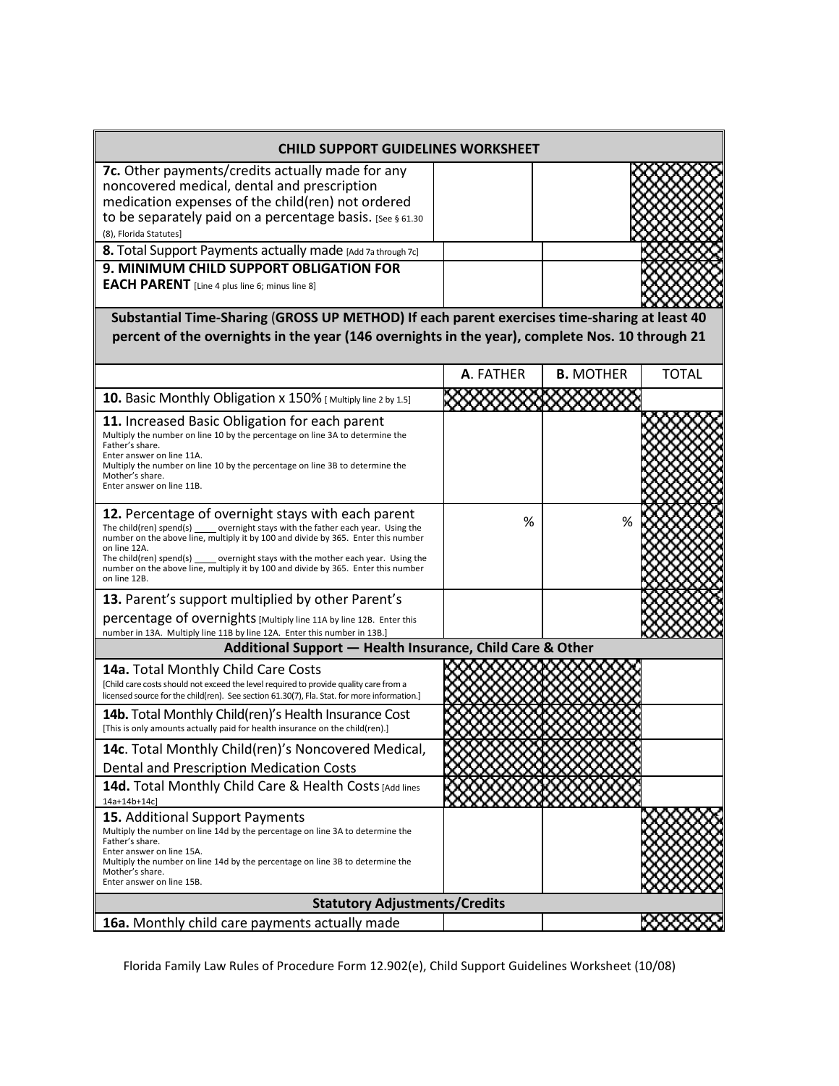| <b>CHILD SUPPORT GUIDELINES WORKSHEET</b>                                                                                                                                                                                                                                                                                                                                                                                    |           |                  |              |  |  |  |
|------------------------------------------------------------------------------------------------------------------------------------------------------------------------------------------------------------------------------------------------------------------------------------------------------------------------------------------------------------------------------------------------------------------------------|-----------|------------------|--------------|--|--|--|
| 7c. Other payments/credits actually made for any<br>noncovered medical, dental and prescription<br>medication expenses of the child(ren) not ordered<br>to be separately paid on a percentage basis. [See § 61.30<br>(8), Florida Statutes]                                                                                                                                                                                  |           |                  |              |  |  |  |
| 8. Total Support Payments actually made [Add 7a through 7c]                                                                                                                                                                                                                                                                                                                                                                  |           |                  |              |  |  |  |
| 9. MINIMUM CHILD SUPPORT OBLIGATION FOR<br><b>EACH PARENT</b> [Line 4 plus line 6; minus line 8]                                                                                                                                                                                                                                                                                                                             |           |                  |              |  |  |  |
| Substantial Time-Sharing (GROSS UP METHOD) If each parent exercises time-sharing at least 40<br>percent of the overnights in the year (146 overnights in the year), complete Nos. 10 through 21                                                                                                                                                                                                                              |           |                  |              |  |  |  |
|                                                                                                                                                                                                                                                                                                                                                                                                                              | A. FATHER | <b>B. MOTHER</b> | <b>TOTAL</b> |  |  |  |
| 10. Basic Monthly Obligation x 150% [Multiply line 2 by 1.5]                                                                                                                                                                                                                                                                                                                                                                 |           |                  |              |  |  |  |
| 11. Increased Basic Obligation for each parent<br>Multiply the number on line 10 by the percentage on line 3A to determine the<br>Father's share.<br>Enter answer on line 11A.<br>Multiply the number on line 10 by the percentage on line 3B to determine the<br>Mother's share.<br>Enter answer on line 11B.                                                                                                               |           |                  |              |  |  |  |
| 12. Percentage of overnight stays with each parent<br>The child(ren) spend(s) overnight stays with the father each year. Using the<br>number on the above line, multiply it by 100 and divide by 365. Enter this number<br>on line 12A.<br>The child(ren) spend(s) overnight stays with the mother each year. Using the<br>number on the above line, multiply it by 100 and divide by 365. Enter this number<br>on line 12B. | %         |                  |              |  |  |  |
| 13. Parent's support multiplied by other Parent's                                                                                                                                                                                                                                                                                                                                                                            |           |                  |              |  |  |  |
| percentage of overnights [Multiply line 11A by line 12B. Enter this<br>number in 13A. Multiply line 11B by line 12A. Enter this number in 13B.]                                                                                                                                                                                                                                                                              |           |                  |              |  |  |  |
| Additional Support - Health Insurance, Child Care & Other                                                                                                                                                                                                                                                                                                                                                                    |           |                  |              |  |  |  |
| 14a. Total Monthly Child Care Costs<br>[Child care costs should not exceed the level required to provide quality care from a<br>licensed source for the child(ren). See section 61.30(7), Fla. Stat. for more information.]                                                                                                                                                                                                  |           |                  |              |  |  |  |
| 14b. Total Monthly Child(ren)'s Health Insurance Cost<br>[This is only amounts actually paid for health insurance on the child(ren).]                                                                                                                                                                                                                                                                                        |           |                  |              |  |  |  |
| 14c. Total Monthly Child(ren)'s Noncovered Medical,<br>Dental and Prescription Medication Costs                                                                                                                                                                                                                                                                                                                              |           |                  |              |  |  |  |
| 14d. Total Monthly Child Care & Health Costs [Add lines<br>14a+14b+14c]                                                                                                                                                                                                                                                                                                                                                      |           |                  |              |  |  |  |
| 15. Additional Support Payments<br>Multiply the number on line 14d by the percentage on line 3A to determine the<br>Father's share.<br>Enter answer on line 15A.<br>Multiply the number on line 14d by the percentage on line 3B to determine the<br>Mother's share.<br>Enter answer on line 15B.                                                                                                                            |           |                  |              |  |  |  |
| <b>Statutory Adjustments/Credits</b>                                                                                                                                                                                                                                                                                                                                                                                         |           |                  |              |  |  |  |
| 16a. Monthly child care payments actually made                                                                                                                                                                                                                                                                                                                                                                               |           |                  |              |  |  |  |